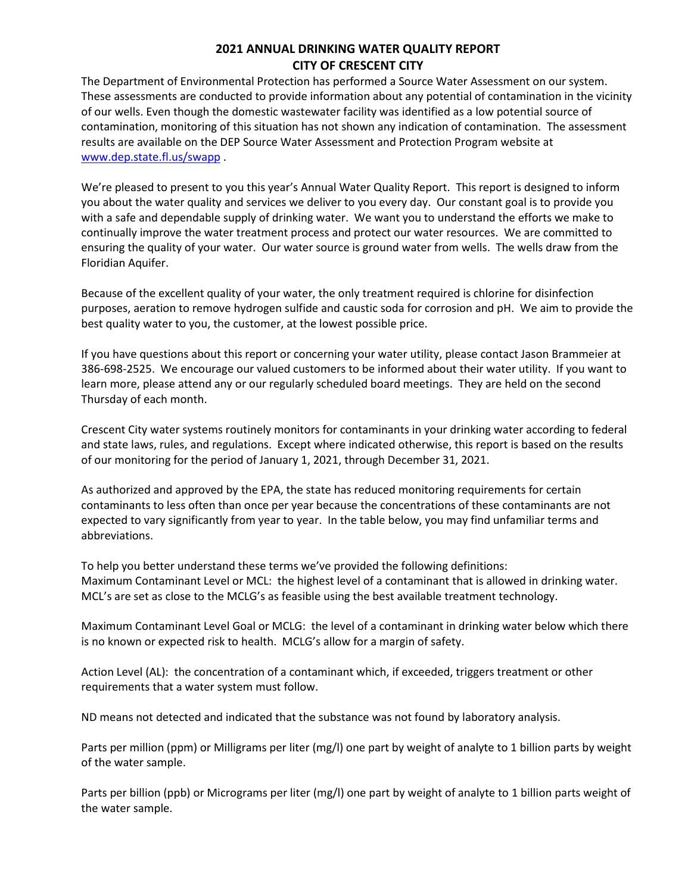## **2021 ANNUAL DRINKING WATER QUALITY REPORT CITY OF CRESCENT CITY**

The Department of Environmental Protection has performed a Source Water Assessment on our system. These assessments are conducted to provide information about any potential of contamination in the vicinity of our wells. Even though the domestic wastewater facility was identified as a low potential source of contamination, monitoring of this situation has not shown any indication of contamination. The assessment results are available on the DEP Source Water Assessment and Protection Program website at [www.dep.state.fl.us/swapp](http://www.dep.state.fl.us/swapp) .

We're pleased to present to you this year's Annual Water Quality Report. This report is designed to inform you about the water quality and services we deliver to you every day. Our constant goal is to provide you with a safe and dependable supply of drinking water. We want you to understand the efforts we make to continually improve the water treatment process and protect our water resources. We are committed to ensuring the quality of your water. Our water source is ground water from wells. The wells draw from the Floridian Aquifer.

Because of the excellent quality of your water, the only treatment required is chlorine for disinfection purposes, aeration to remove hydrogen sulfide and caustic soda for corrosion and pH. We aim to provide the best quality water to you, the customer, at the lowest possible price.

If you have questions about this report or concerning your water utility, please contact Jason Brammeier at 386-698-2525. We encourage our valued customers to be informed about their water utility. If you want to learn more, please attend any or our regularly scheduled board meetings. They are held on the second Thursday of each month.

Crescent City water systems routinely monitors for contaminants in your drinking water according to federal and state laws, rules, and regulations. Except where indicated otherwise, this report is based on the results of our monitoring for the period of January 1, 2021, through December 31, 2021.

As authorized and approved by the EPA, the state has reduced monitoring requirements for certain contaminants to less often than once per year because the concentrations of these contaminants are not expected to vary significantly from year to year. In the table below, you may find unfamiliar terms and abbreviations.

To help you better understand these terms we've provided the following definitions: Maximum Contaminant Level or MCL: the highest level of a contaminant that is allowed in drinking water. MCL's are set as close to the MCLG's as feasible using the best available treatment technology.

Maximum Contaminant Level Goal or MCLG: the level of a contaminant in drinking water below which there is no known or expected risk to health. MCLG's allow for a margin of safety.

Action Level (AL): the concentration of a contaminant which, if exceeded, triggers treatment or other requirements that a water system must follow.

ND means not detected and indicated that the substance was not found by laboratory analysis.

Parts per million (ppm) or Milligrams per liter (mg/l) one part by weight of analyte to 1 billion parts by weight of the water sample.

Parts per billion (ppb) or Micrograms per liter (mg/l) one part by weight of analyte to 1 billion parts weight of the water sample.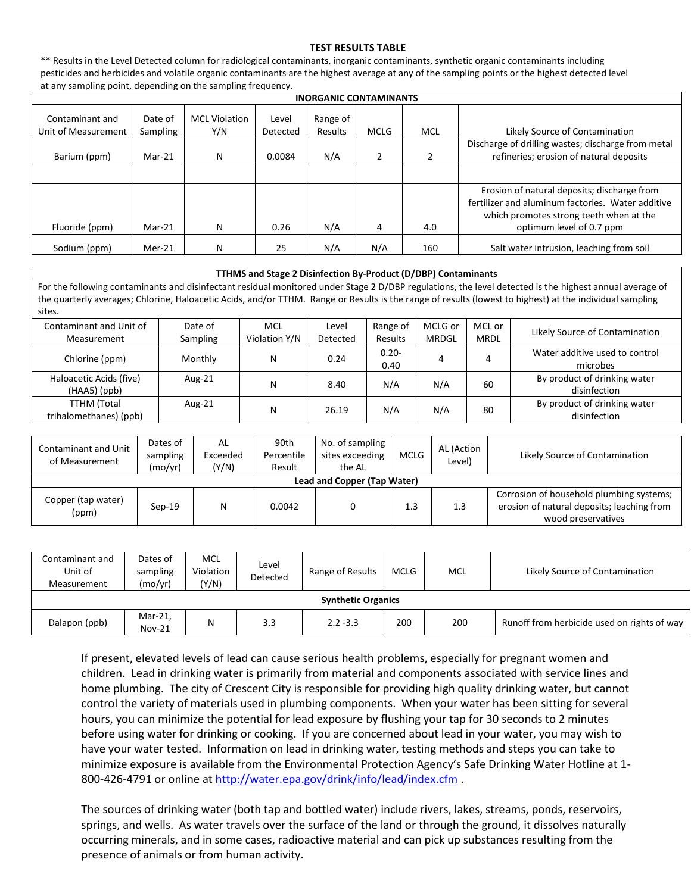## **TEST RESULTS TABLE**

\*\* Results in the Level Detected column for radiological contaminants, inorganic contaminants, synthetic organic contaminants including pesticides and herbicides and volatile organic contaminants are the highest average at any of the sampling points or the highest detected level at any sampling point, depending on the sampling frequency.

| <b>INORGANIC CONTAMINANTS</b>          |                     |                             |                   |                     |             |            |                                                                                                                                                                         |  |  |  |
|----------------------------------------|---------------------|-----------------------------|-------------------|---------------------|-------------|------------|-------------------------------------------------------------------------------------------------------------------------------------------------------------------------|--|--|--|
| Contaminant and<br>Unit of Measurement | Date of<br>Sampling | <b>MCL Violation</b><br>Y/N | Level<br>Detected | Range of<br>Results | <b>MCLG</b> | <b>MCL</b> | Likely Source of Contamination                                                                                                                                          |  |  |  |
| Barium (ppm)                           | $Mar-21$            | N                           | 0.0084            | N/A                 |             |            | Discharge of drilling wastes; discharge from metal<br>refineries; erosion of natural deposits                                                                           |  |  |  |
|                                        |                     |                             |                   |                     |             |            |                                                                                                                                                                         |  |  |  |
| Fluoride (ppm)                         | $Mar-21$            | N                           | 0.26              | N/A                 | 4           | 4.0        | Erosion of natural deposits; discharge from<br>fertilizer and aluminum factories. Water additive<br>which promotes strong teeth when at the<br>optimum level of 0.7 ppm |  |  |  |
| Sodium (ppm)                           | $Mer-21$            | N                           | 25                | N/A                 | N/A         | 160        | Salt water intrusion, leaching from soil                                                                                                                                |  |  |  |

## **TTHMS and Stage 2 Disinfection By-Product (D/DBP) Contaminants**

For the following contaminants and disinfectant residual monitored under Stage 2 D/DBP regulations, the level detected is the highest annual average of the quarterly averages; Chlorine, Haloacetic Acids, and/or TTHM. Range or Results is the range of results (lowest to highest) at the individual sampling sites.

| Contaminant and Unit of<br>Measurement       | Date of<br>Sampling | <b>MCL</b><br>Violation Y/N | Level<br>Detected | Range of<br>Results | MCLG or<br><b>MRDGL</b> | MCL or<br><b>MRDL</b> | Likely Source of Contamination               |
|----------------------------------------------|---------------------|-----------------------------|-------------------|---------------------|-------------------------|-----------------------|----------------------------------------------|
| Chlorine (ppm)                               | Monthly             | N                           | 0.24              | $0.20 -$<br>0.40    |                         |                       | Water additive used to control<br>microbes   |
| Haloacetic Acids (five)<br>$(HAA5)$ (ppb)    | Aug-21              | N                           | 8.40              | N/A                 | N/A                     | 60                    | By product of drinking water<br>disinfection |
| <b>TTHM</b> (Total<br>trihalomethanes) (ppb) | Aug-21              | N                           | 26.19             | N/A                 | N/A                     | 80                    | By product of drinking water<br>disinfection |

| Contaminant and Unit<br>of Measurement | Dates of<br>sampling<br>(mo/yr) | AL<br>Exceeded<br>(Y/N) | 90th<br>Percentile<br>Result | No. of sampling<br>sites exceeding<br>the AL | MCLG | AL (Action<br>Level) | Likely Source of Contamination                                                                               |  |  |
|----------------------------------------|---------------------------------|-------------------------|------------------------------|----------------------------------------------|------|----------------------|--------------------------------------------------------------------------------------------------------------|--|--|
| Lead and Copper (Tap Water)            |                                 |                         |                              |                                              |      |                      |                                                                                                              |  |  |
| Copper (tap water)<br>(ppm)            | $Sep-19$                        | N                       | 0.0042                       |                                              | 1.3  | 1.3                  | Corrosion of household plumbing systems;<br>erosion of natural deposits; leaching from<br>wood preservatives |  |  |

| Contaminant and<br>Unit of<br>Measurement | Dates of<br>sampling<br>(mo/yr) | MCL<br>Violation<br>(Y/N) | Level<br>Detected | Range of Results | <b>MCLG</b> | MCL | Likely Source of Contamination              |  |  |
|-------------------------------------------|---------------------------------|---------------------------|-------------------|------------------|-------------|-----|---------------------------------------------|--|--|
| <b>Synthetic Organics</b>                 |                                 |                           |                   |                  |             |     |                                             |  |  |
| Dalapon (ppb)                             | Mar-21,<br><b>Nov-21</b>        | N                         | 3.3               | $2.2 - 3.3$      | 200         | 200 | Runoff from herbicide used on rights of way |  |  |

If present, elevated levels of lead can cause serious health problems, especially for pregnant women and children. Lead in drinking water is primarily from material and components associated with service lines and home plumbing. The city of Crescent City is responsible for providing high quality drinking water, but cannot control the variety of materials used in plumbing components. When your water has been sitting for several hours, you can minimize the potential for lead exposure by flushing your tap for 30 seconds to 2 minutes before using water for drinking or cooking. If you are concerned about lead in your water, you may wish to have your water tested. Information on lead in drinking water, testing methods and steps you can take to minimize exposure is available from the Environmental Protection Agency's Safe Drinking Water Hotline at 1- 800-426-4791 or online at<http://water.epa.gov/drink/info/lead/index.cfm> .

The sources of drinking water (both tap and bottled water) include rivers, lakes, streams, ponds, reservoirs, springs, and wells. As water travels over the surface of the land or through the ground, it dissolves naturally occurring minerals, and in some cases, radioactive material and can pick up substances resulting from the presence of animals or from human activity.